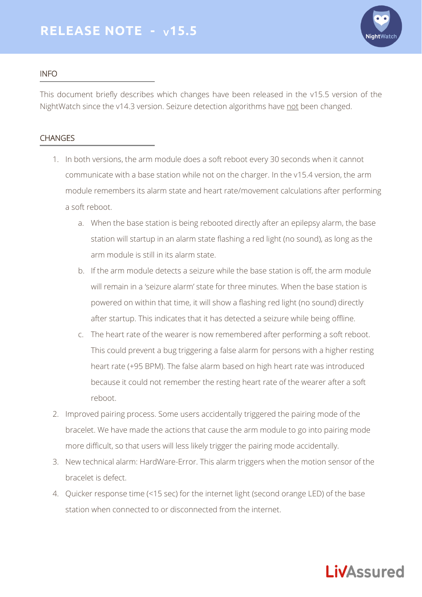

## INFO

This document briefly describes which changes have been released in the v15.5 version of the NightWatch since the v14.3 version. Seizure detection algorithms have not been changed.

## **CHANGES**

- 1. In both versions, the arm module does a soft reboot every 30 seconds when it cannot communicate with a base station while not on the charger. In the v15.4 version, the arm module remembers its alarm state and heart rate/movement calculations after performing a soft reboot.
	- a. When the base station is being rebooted directly after an epilepsy alarm, the base station will startup in an alarm state flashing a red light (no sound), as long as the arm module is still in its alarm state.
	- b. If the arm module detects a seizure while the base station is off, the arm module will remain in a 'seizure alarm' state for three minutes. When the base station is powered on within that time, it will show a flashing red light (no sound) directly after startup. This indicates that it has detected a seizure while being offline.
	- c. The heart rate of the wearer is now remembered after performing a soft reboot. This could prevent a bug triggering a false alarm for persons with a higher resting heart rate (+95 BPM). The false alarm based on high heart rate was introduced because it could not remember the resting heart rate of the wearer after a soft reboot.
- 2. Improved pairing process. Some users accidentally triggered the pairing mode of the bracelet. We have made the actions that cause the arm module to go into pairing mode more difficult, so that users will less likely trigger the pairing mode accidentally.
- 3. New technical alarm: HardWare-Error. This alarm triggers when the motion sensor of the bracelet is defect.
- 4. Quicker response time (<15 sec) for the internet light (second orange LED) of the base station when connected to or disconnected from the internet.